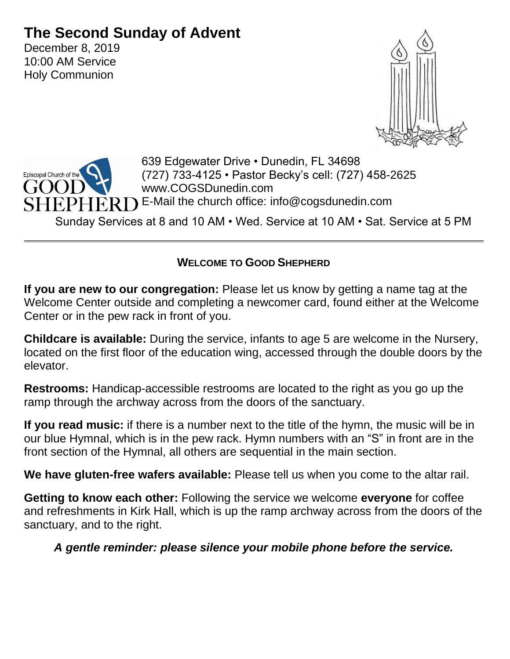# **The Second Sunday of Advent**

December 8, 2019 10:00 AM Service Holy Communion





639 Edgewater Drive • Dunedin, FL 34698 (727) 733-4125 • Pastor Becky's cell: (727) 458-2625 www.COGSDunedin.com

 $\overline{\text{R}}$   $\overline{\text{D}}$  E-Mail the church office: info@cogsdunedin.com

Sunday Services at 8 and 10 AM • Wed. Service at 10 AM • Sat. Service at 5 PM

### **WELCOME TO GOOD SHEPHERD**

**If you are new to our congregation:** Please let us know by getting a name tag at the Welcome Center outside and completing a newcomer card, found either at the Welcome Center or in the pew rack in front of you.

**Childcare is available:** During the service, infants to age 5 are welcome in the Nursery, located on the first floor of the education wing, accessed through the double doors by the elevator.

**Restrooms:** Handicap-accessible restrooms are located to the right as you go up the ramp through the archway across from the doors of the sanctuary.

**If you read music:** if there is a number next to the title of the hymn, the music will be in our blue Hymnal, which is in the pew rack. Hymn numbers with an "S" in front are in the front section of the Hymnal, all others are sequential in the main section.

**We have gluten-free wafers available:** Please tell us when you come to the altar rail.

**Getting to know each other:** Following the service we welcome **everyone** for coffee and refreshments in Kirk Hall, which is up the ramp archway across from the doors of the sanctuary, and to the right.

# *A gentle reminder: please silence your mobile phone before the service.*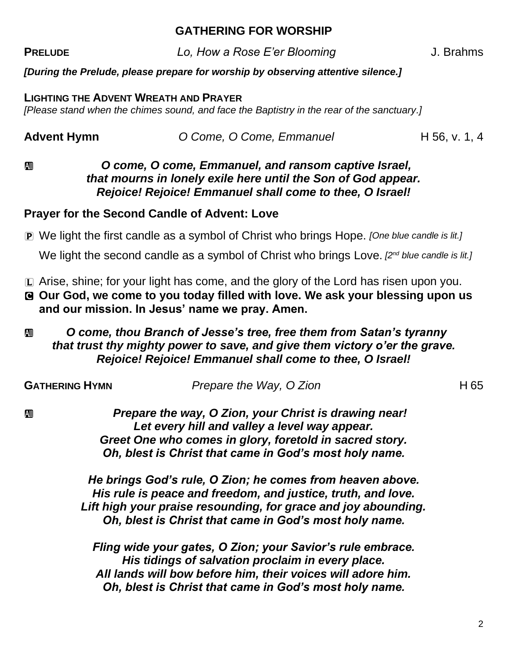#### **GATHERING FOR WORSHIP**

**PRELUDE** *Lo, How a Rose E'er Blooming* J. Brahms

*[During the Prelude, please prepare for worship by observing attentive silence.]*

**LIGHTING THE ADVENT WREATH AND PRAYER**  *[Please stand when the chimes sound, and face the Baptistry in the rear of the sanctuary.]*

| <b>Advent Hymn</b> | O Come, O Come, Emmanuel | H 56, v. 1, 4 |
|--------------------|--------------------------|---------------|
|                    |                          |               |

### *C Come, O come, Emmanuel, and ransom captive Israel, that mourns in lonely exile here until the Son of God appear. Rejoice! Rejoice! Emmanuel shall come to thee, O Israel!*

# **Prayer for the Second Candle of Advent: Love**

P We light the first candle as a symbol of Christ who brings Hope. *[One blue candle is lit.]*

We light the second candle as a symbol of Christ who brings Love. *[2<sup>nd</sup> blue candle is lit.]* 

- L Arise, shine; for your light has come, and the glory of the Lord has risen upon you.
- C **Our God, we come to you today filled with love. We ask your blessing upon us and our mission. In Jesus' name we pray. Amen.**

## a *O come, thou Branch of Jesse's tree, free them from Satan's tyranny that trust thy mighty power to save, and give them victory o'er the grave. Rejoice! Rejoice! Emmanuel shall come to thee, O Israel!*

| <b>GATHERING HYMN</b> | Prepare the Way, O Zion | H 65 |
|-----------------------|-------------------------|------|

*A**Prepare the way, O Zion, your Christ is drawing near! Let every hill and valley a level way appear. Greet One who comes in glory, foretold in sacred story. Oh, blest is Christ that came in God's most holy name.*

> *He brings God's rule, O Zion; he comes from heaven above. His rule is peace and freedom, and justice, truth, and love. Lift high your praise resounding, for grace and joy abounding. Oh, blest is Christ that came in God's most holy name.*

*Fling wide your gates, O Zion; your Savior's rule embrace. His tidings of salvation proclaim in every place. All lands will bow before him, their voices will adore him. Oh, blest is Christ that came in God's most holy name.*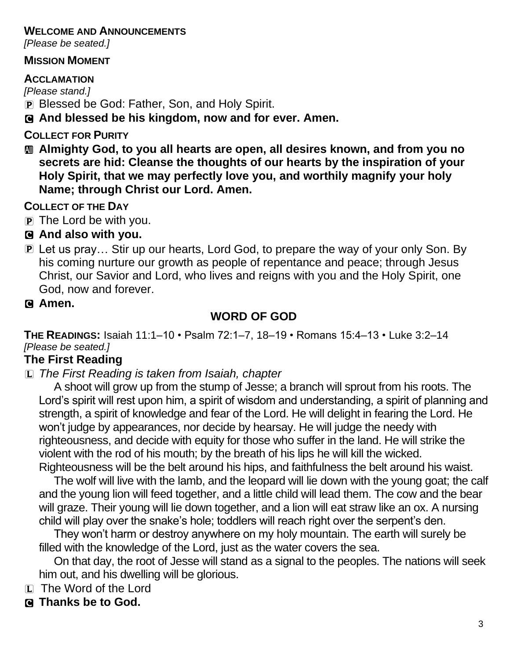#### **WELCOME AND ANNOUNCEMENTS**

*[Please be seated.]*

#### **MISSION MOMENT**

#### **ACCLAMATION**

*[Please stand.]*

P Blessed be God: Father, Son, and Holy Spirit.

C **And blessed be his kingdom, now and for ever. Amen.**

**COLLECT FOR PURITY**

a **Almighty God, to you all hearts are open, all desires known, and from you no secrets are hid: Cleanse the thoughts of our hearts by the inspiration of your Holy Spirit, that we may perfectly love you, and worthily magnify your holy Name; through Christ our Lord. Amen.**

**COLLECT OF THE DAY**

- P The Lord be with you.
- C **And also with you.**
- P Let us pray… Stir up our hearts, Lord God, to prepare the way of your only Son. By his coming nurture our growth as people of repentance and peace; through Jesus Christ, our Savior and Lord, who lives and reigns with you and the Holy Spirit, one God, now and forever.
- C **Amen.**

# **WORD OF GOD**

**THE READINGS:** Isaiah 11:1–10 • Psalm 72:1–7, 18–19 • Romans 15:4–13 • Luke 3:2–14 *[Please be seated.]*

# **The First Reading**

L *The First Reading is taken from Isaiah, chapter* 

A shoot will grow up from the stump of Jesse; a branch will sprout from his roots. The Lord's spirit will rest upon him, a spirit of wisdom and understanding, a spirit of planning and strength, a spirit of knowledge and fear of the Lord. He will delight in fearing the Lord. He won't judge by appearances, nor decide by hearsay. He will judge the needy with righteousness, and decide with equity for those who suffer in the land. He will strike the violent with the rod of his mouth; by the breath of his lips he will kill the wicked. Righteousness will be the belt around his hips, and faithfulness the belt around his waist.

The wolf will live with the lamb, and the leopard will lie down with the young goat; the calf and the young lion will feed together, and a little child will lead them. The cow and the bear will graze. Their young will lie down together, and a lion will eat straw like an ox. A nursing child will play over the snake's hole; toddlers will reach right over the serpent's den.

They won't harm or destroy anywhere on my holy mountain. The earth will surely be filled with the knowledge of the Lord, just as the water covers the sea.

On that day, the root of Jesse will stand as a signal to the peoples. The nations will seek him out, and his dwelling will be glorious.

- L The Word of the Lord
- C **Thanks be to God.**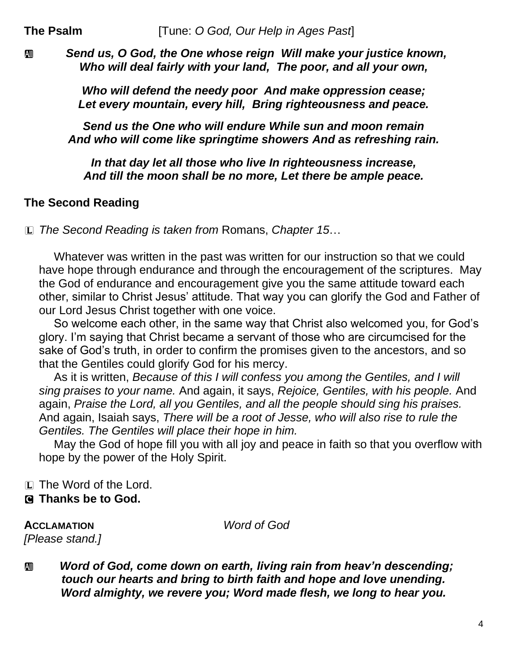**m** Send us, O God, the One whose reign Will make your justice known, *Who will deal fairly with your land, The poor, and all your own,*

> *Who will defend the needy poor And make oppression cease; Let every mountain, every hill, Bring righteousness and peace.*

*Send us the One who will endure While sun and moon remain And who will come like springtime showers And as refreshing rain.* 

*In that day let all those who live In righteousness increase, And till the moon shall be no more, Let there be ample peace.*

# **The Second Reading**

L *The Second Reading is taken from* Romans, *Chapter 15*…

Whatever was written in the past was written for our instruction so that we could have hope through endurance and through the encouragement of the scriptures. May the God of endurance and encouragement give you the same attitude toward each other, similar to Christ Jesus' attitude. That way you can glorify the God and Father of our Lord Jesus Christ together with one voice.

So welcome each other, in the same way that Christ also welcomed you, for God's glory. I'm saying that Christ became a servant of those who are circumcised for the sake of God's truth, in order to confirm the promises given to the ancestors, and so that the Gentiles could glorify God for his mercy.

As it is written, *Because of this I will confess you among the Gentiles, and I will sing praises to your name.* And again, it says, *Rejoice, Gentiles, with his people.* And again, *Praise the Lord, all you Gentiles, and all the people should sing his praises.* And again, Isaiah says, *There will be a root of Jesse, who will also rise to rule the Gentiles. The Gentiles will place their hope in him.*

May the God of hope fill you with all joy and peace in faith so that you overflow with hope by the power of the Holy Spirit.

L The Word of the Lord.

C **Thanks be to God.**

**ACCLAMATION** *Word of God [Please stand.]*

*m Word of God, come down on earth, living rain from heav'n descending; touch our hearts and bring to birth faith and hope and love unending. Word almighty, we revere you; Word made flesh, we long to hear you.*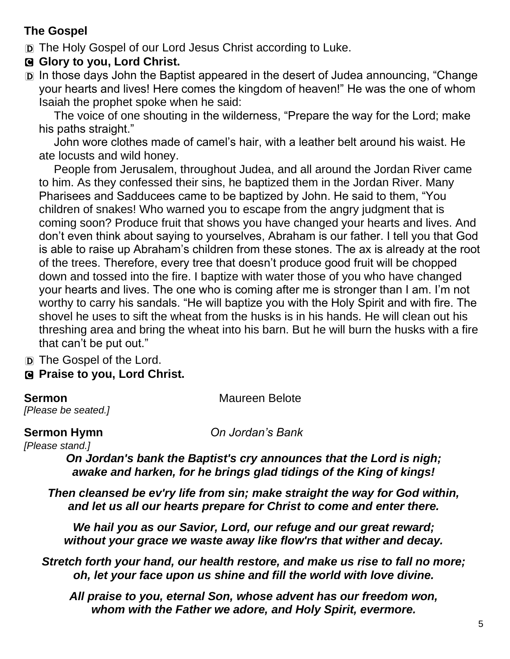# **The Gospel**

D The Holy Gospel of our Lord Jesus Christ according to Luke.

## C **Glory to you, Lord Christ.**

D In those days John the Baptist appeared in the desert of Judea announcing, "Change your hearts and lives! Here comes the kingdom of heaven!" He was the one of whom Isaiah the prophet spoke when he said:

The voice of one shouting in the wilderness, "Prepare the way for the Lord; make his paths straight."

John wore clothes made of camel's hair, with a leather belt around his waist. He ate locusts and wild honey.

People from Jerusalem, throughout Judea, and all around the Jordan River came to him. As they confessed their sins, he baptized them in the Jordan River. Many Pharisees and Sadducees came to be baptized by John. He said to them, "You children of snakes! Who warned you to escape from the angry judgment that is coming soon? Produce fruit that shows you have changed your hearts and lives. And don't even think about saying to yourselves, Abraham is our father. I tell you that God is able to raise up Abraham's children from these stones. The ax is already at the root of the trees. Therefore, every tree that doesn't produce good fruit will be chopped down and tossed into the fire. I baptize with water those of you who have changed your hearts and lives. The one who is coming after me is stronger than I am. I'm not worthy to carry his sandals. "He will baptize you with the Holy Spirit and with fire. The shovel he uses to sift the wheat from the husks is in his hands. He will clean out his threshing area and bring the wheat into his barn. But he will burn the husks with a fire that can't be put out."

D The Gospel of the Lord.

# C **Praise to you, Lord Christ.**

#### **Sermon** Maureen Belote

*[Please be seated.]*

#### **Sermon Hymn** *On Jordan's Bank*

*[Please stand.]*

*On Jordan's bank the Baptist's cry announces that the Lord is nigh; awake and harken, for he brings glad tidings of the King of kings!*

*Then cleansed be ev'ry life from sin; make straight the way for God within, and let us all our hearts prepare for Christ to come and enter there.*

*We hail you as our Savior, Lord, our refuge and our great reward; without your grace we waste away like flow'rs that wither and decay.*

*Stretch forth your hand, our health restore, and make us rise to fall no more; oh, let your face upon us shine and fill the world with love divine.*

*All praise to you, eternal Son, whose advent has our freedom won, whom with the Father we adore, and Holy Spirit, evermore.*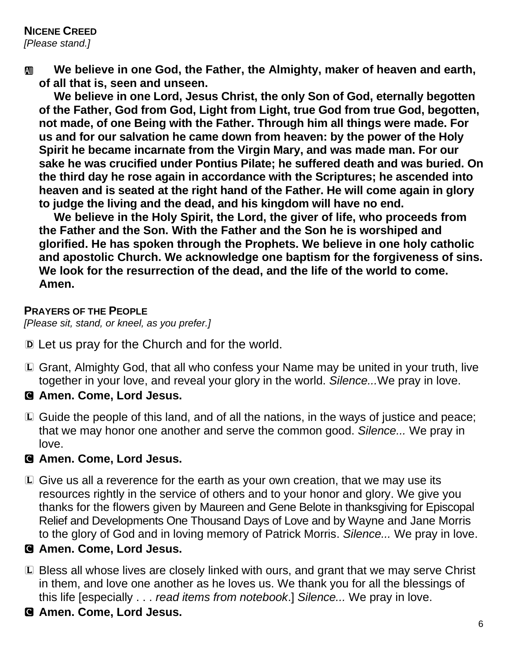a **We believe in one God, the Father, the Almighty, maker of heaven and earth, of all that is, seen and unseen.**

**We believe in one Lord, Jesus Christ, the only Son of God, eternally begotten of the Father, God from God, Light from Light, true God from true God, begotten, not made, of one Being with the Father. Through him all things were made. For us and for our salvation he came down from heaven: by the power of the Holy Spirit he became incarnate from the Virgin Mary, and was made man. For our sake he was crucified under Pontius Pilate; he suffered death and was buried. On the third day he rose again in accordance with the Scriptures; he ascended into heaven and is seated at the right hand of the Father. He will come again in glory to judge the living and the dead, and his kingdom will have no end.**

**We believe in the Holy Spirit, the Lord, the giver of life, who proceeds from the Father and the Son. With the Father and the Son he is worshiped and glorified. He has spoken through the Prophets. We believe in one holy catholic and apostolic Church. We acknowledge one baptism for the forgiveness of sins. We look for the resurrection of the dead, and the life of the world to come. Amen.**

### **PRAYERS OF THE PEOPLE**

*[Please sit, stand, or kneel, as you prefer.]*

- D Let us pray for the Church and for the world.
- L Grant, Almighty God, that all who confess your Name may be united in your truth, live together in your love, and reveal your glory in the world. *Silence...*We pray in love.
- C **Amen. Come, Lord Jesus.**
- L Guide the people of this land, and of all the nations, in the ways of justice and peace; that we may honor one another and serve the common good. *Silence...* We pray in love.

#### C **Amen. Come, Lord Jesus.**

- L Give us all a reverence for the earth as your own creation, that we may use its resources rightly in the service of others and to your honor and glory. We give you thanks for the flowers given by Maureen and Gene Belote in thanksgiving for Episcopal Relief and Developments One Thousand Days of Love and by Wayne and Jane Morris to the glory of God and in loving memory of Patrick Morris. *Silence...* We pray in love.
- C **Amen. Come, Lord Jesus.**
- L Bless all whose lives are closely linked with ours, and grant that we may serve Christ in them, and love one another as he loves us. We thank you for all the blessings of this life [especially . . . *read items from notebook*.] *Silence...* We pray in love.
- C **Amen. Come, Lord Jesus.**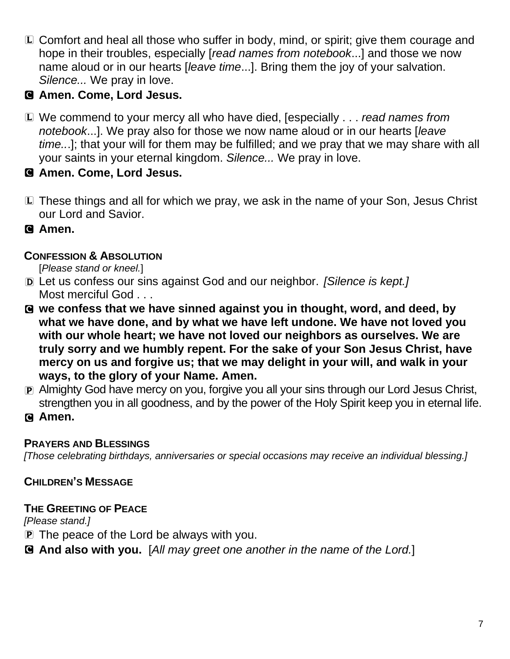L Comfort and heal all those who suffer in body, mind, or spirit; give them courage and hope in their troubles, especially [*read names from notebook*...] and those we now name aloud or in our hearts [*leave time*...]. Bring them the joy of your salvation. *Silence...* We pray in love.

# C **Amen. Come, Lord Jesus.**

- L We commend to your mercy all who have died, [especially . . . *read names from notebook*...]. We pray also for those we now name aloud or in our hearts [*leave time..*.]; that your will for them may be fulfilled; and we pray that we may share with all your saints in your eternal kingdom. *Silence...* We pray in love.
- C **Amen. Come, Lord Jesus.**
- L These things and all for which we pray, we ask in the name of your Son, Jesus Christ our Lord and Savior.
- C **Amen.**

# **CONFESSION & ABSOLUTION**

[*Please stand or kneel.*]

- D Let us confess our sins against God and our neighbor. *[Silence is kept.]* Most merciful God . . .
- C **we confess that we have sinned against you in thought, word, and deed, by what we have done, and by what we have left undone. We have not loved you with our whole heart; we have not loved our neighbors as ourselves. We are truly sorry and we humbly repent. For the sake of your Son Jesus Christ, have mercy on us and forgive us; that we may delight in your will, and walk in your ways, to the glory of your Name. Amen.**
- P Almighty God have mercy on you, forgive you all your sins through our Lord Jesus Christ, strengthen you in all goodness, and by the power of the Holy Spirit keep you in eternal life.
- C **Amen.**

# **PRAYERS AND BLESSINGS**

*[Those celebrating birthdays, anniversaries or special occasions may receive an individual blessing.]*

# **CHILDREN'S MESSAGE**

# **THE GREETING OF PEACE**

*[Please stand.]*

- **P** The peace of the Lord be always with you.
- C **And also with you.** [*All may greet one another in the name of the Lord.*]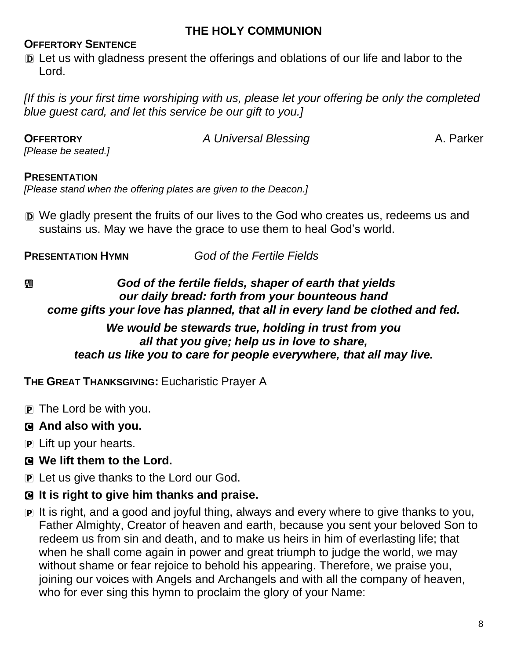# **THE HOLY COMMUNION**

## **OFFERTORY SENTENCE**

D Let us with gladness present the offerings and oblations of our life and labor to the Lord.

*[If this is your first time worshiping with us, please let your offering be only the completed blue guest card, and let this service be our gift to you.]*

**OFFERTORY A Universal Blessing A. Parker** 

#### *[Please be seated.]*

**PRESENTATION** *[Please stand when the offering plates are given to the Deacon.]*

D We gladly present the fruits of our lives to the God who creates us, redeems us and sustains us. May we have the grace to use them to heal God's world.

**PRESENTATION HYMN** *God of the Fertile Fields*

# *Cod of the fertile fields, shaper of earth that yields our daily bread: forth from your bounteous hand come gifts your love has planned, that all in every land be clothed and fed.*

# *We would be stewards true, holding in trust from you all that you give; help us in love to share, teach us like you to care for people everywhere, that all may live.*

**THE GREAT THANKSGIVING:** Eucharistic Prayer A

- $\mathbf{P}$  The Lord be with you.
- C **And also with you.**
- P Lift up your hearts.
- C **We lift them to the Lord.**
- P Let us give thanks to the Lord our God.
- C **It is right to give him thanks and praise.**
- P It is right, and a good and joyful thing, always and every where to give thanks to you, Father Almighty, Creator of heaven and earth, because you sent your beloved Son to redeem us from sin and death, and to make us heirs in him of everlasting life; that when he shall come again in power and great triumph to judge the world, we may without shame or fear rejoice to behold his appearing. Therefore, we praise you, joining our voices with Angels and Archangels and with all the company of heaven, who for ever sing this hymn to proclaim the glory of your Name: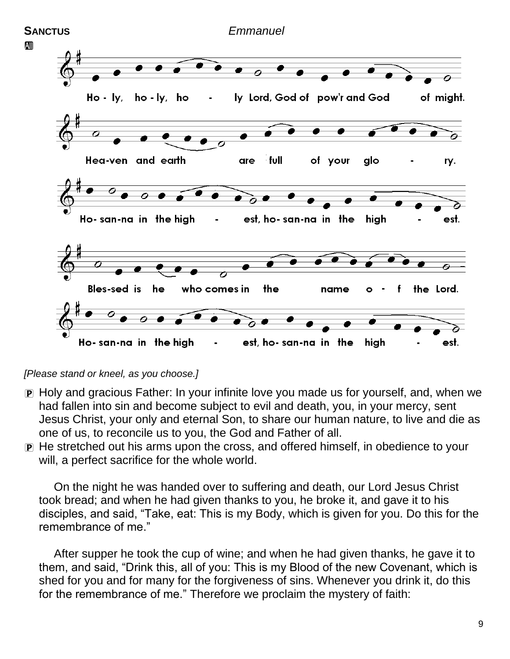

*[Please stand or kneel, as you choose.]*

- P Holy and gracious Father: In your infinite love you made us for yourself, and, when we had fallen into sin and become subject to evil and death, you, in your mercy, sent Jesus Christ, your only and eternal Son, to share our human nature, to live and die as one of us, to reconcile us to you, the God and Father of all.
- P He stretched out his arms upon the cross, and offered himself, in obedience to your will, a perfect sacrifice for the whole world.

On the night he was handed over to suffering and death, our Lord Jesus Christ took bread; and when he had given thanks to you, he broke it, and gave it to his disciples, and said, "Take, eat: This is my Body, which is given for you. Do this for the remembrance of me."

After supper he took the cup of wine; and when he had given thanks, he gave it to them, and said, "Drink this, all of you: This is my Blood of the new Covenant, which is shed for you and for many for the forgiveness of sins. Whenever you drink it, do this for the remembrance of me." Therefore we proclaim the mystery of faith: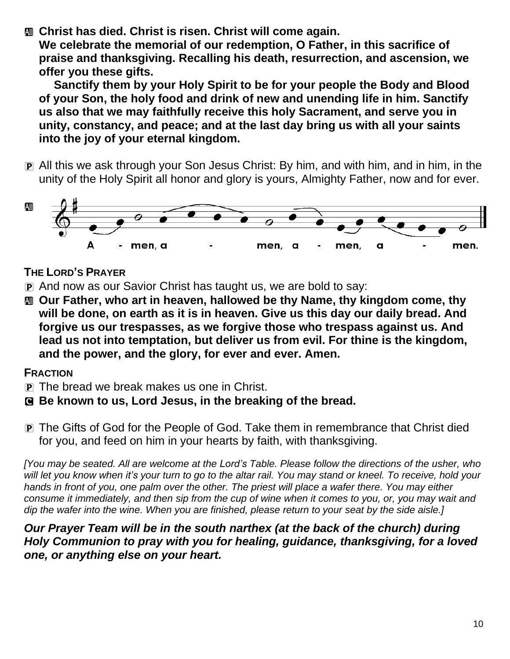$\text{m}$  **Christ has died. Christ is risen. Christ will come again.** 

**We celebrate the memorial of our redemption, O Father, in this sacrifice of praise and thanksgiving. Recalling his death, resurrection, and ascension, we offer you these gifts.**

**Sanctify them by your Holy Spirit to be for your people the Body and Blood of your Son, the holy food and drink of new and unending life in him. Sanctify us also that we may faithfully receive this holy Sacrament, and serve you in unity, constancy, and peace; and at the last day bring us with all your saints into the joy of your eternal kingdom.**

P All this we ask through your Son Jesus Christ: By him, and with him, and in him, in the unity of the Holy Spirit all honor and glory is yours, Almighty Father, now and for ever.



# **THE LORD'S PRAYER**

- P And now as our Savior Christ has taught us, we are bold to say:
- a **Our Father, who art in heaven, hallowed be thy Name, thy kingdom come, thy will be done, on earth as it is in heaven. Give us this day our daily bread. And forgive us our trespasses, as we forgive those who trespass against us. And lead us not into temptation, but deliver us from evil. For thine is the kingdom, and the power, and the glory, for ever and ever. Amen.**

#### **FRACTION**

- P The bread we break makes us one in Christ.
- C **Be known to us, Lord Jesus, in the breaking of the bread.**
- P The Gifts of God for the People of God. Take them in remembrance that Christ died for you, and feed on him in your hearts by faith, with thanksgiving.

[You may be seated. All are welcome at the Lord's Table. Please follow the directions of the usher, who will let you know when it's your turn to go to the altar rail. You may stand or kneel. To receive, hold your hands in front of you, one palm over the other. The priest will place a wafer there. You may either consume it immediately, and then sip from the cup of wine when it comes to you, or, you may wait and dip the wafer into the wine. When you are finished, please return to your seat by the side aisle.]

*Our Prayer Team will be in the south narthex (at the back of the church) during Holy Communion to pray with you for healing, guidance, thanksgiving, for a loved one, or anything else on your heart.*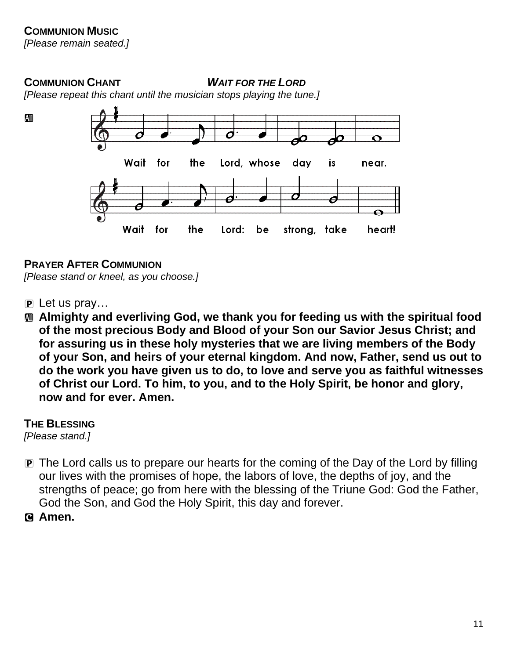*[Please remain seated.]*

# **COMMUNION CHANT** *WAIT FOR THE LORD*

*[Please repeat this chant until the musician stops playing the tune.]*



### **PRAYER AFTER COMMUNION**

*[Please stand or kneel, as you choose.]*

- $\mathbf{P}$  Let us pray...
- a **Almighty and everliving God, we thank you for feeding us with the spiritual food of the most precious Body and Blood of your Son our Savior Jesus Christ; and for assuring us in these holy mysteries that we are living members of the Body of your Son, and heirs of your eternal kingdom. And now, Father, send us out to do the work you have given us to do, to love and serve you as faithful witnesses of Christ our Lord. To him, to you, and to the Holy Spirit, be honor and glory, now and for ever. Amen.**

#### **THE BLESSING**

*[Please stand.]*

P The Lord calls us to prepare our hearts for the coming of the Day of the Lord by filling our lives with the promises of hope, the labors of love, the depths of joy, and the strengths of peace; go from here with the blessing of the Triune God: God the Father, God the Son, and God the Holy Spirit, this day and forever.

C **Amen.**